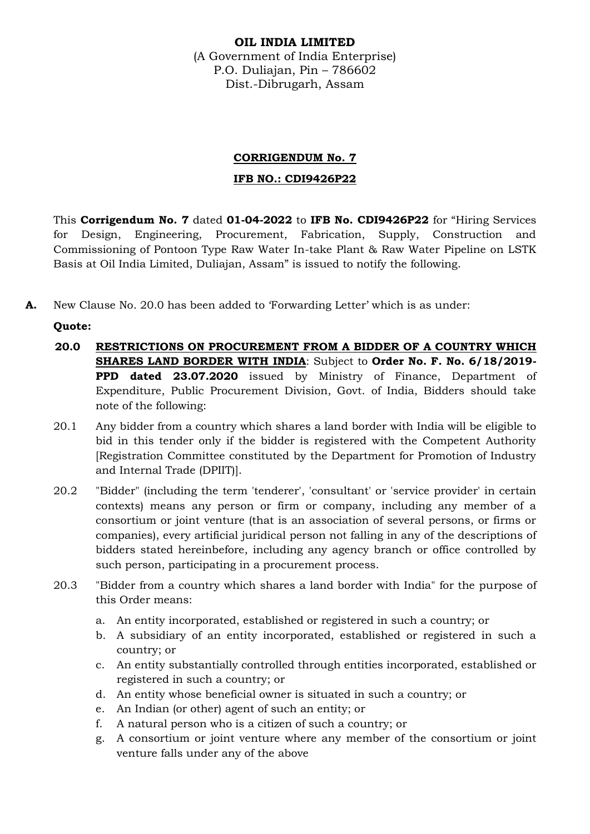## **OIL INDIA LIMITED**

(A Government of India Enterprise) P.O. Duliajan, Pin – 786602 Dist.-Dibrugarh, Assam

# **CORRIGENDUM No. 7**

## **IFB NO.: CDI9426P22**

This **Corrigendum No. 7** dated **01-04-2022** to **IFB No. CDI9426P22** for "Hiring Services for Design, Engineering, Procurement, Fabrication, Supply, Construction and Commissioning of Pontoon Type Raw Water In-take Plant & Raw Water Pipeline on LSTK Basis at Oil India Limited, Duliajan, Assam" is issued to notify the following.

**A.** New Clause No. 20.0 has been added to 'Forwarding Letter' which is as under:

# **Quote:**

- **20.0 RESTRICTIONS ON PROCUREMENT FROM A BIDDER OF A COUNTRY WHICH SHARES LAND BORDER WITH INDIA**: Subject to **Order No. F. No. 6/18/2019- PPD dated 23.07.2020** issued by Ministry of Finance, Department of Expenditure, Public Procurement Division, Govt. of India, Bidders should take note of the following:
- 20.1 Any bidder from a country which shares a land border with India will be eligible to bid in this tender only if the bidder is registered with the Competent Authority [Registration Committee constituted by the Department for Promotion of Industry and Internal Trade (DPIIT)].
- 20.2 "Bidder" (including the term 'tenderer', 'consultant' or 'service provider' in certain contexts) means any person or firm or company, including any member of a consortium or joint venture (that is an association of several persons, or firms or companies), every artificial juridical person not falling in any of the descriptions of bidders stated hereinbefore, including any agency branch or office controlled by such person, participating in a procurement process.
- 20.3 "Bidder from a country which shares a land border with India" for the purpose of this Order means:
	- a. An entity incorporated, established or registered in such a country; or
	- b. A subsidiary of an entity incorporated, established or registered in such a country; or
	- c. An entity substantially controlled through entities incorporated, established or registered in such a country; or
	- d. An entity whose beneficial owner is situated in such a country; or
	- e. An Indian (or other) agent of such an entity; or
	- f. A natural person who is a citizen of such a country; or
	- g. A consortium or joint venture where any member of the consortium or joint venture falls under any of the above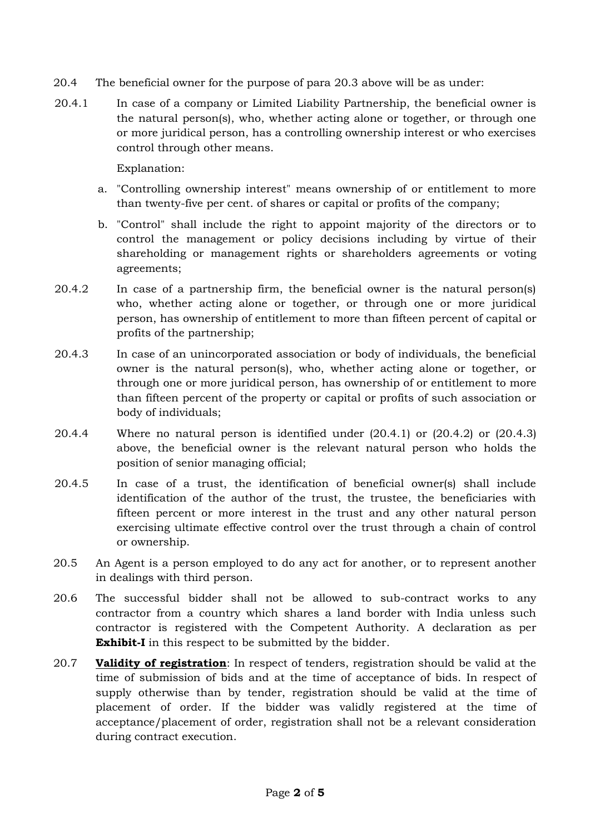- 20.4 The beneficial owner for the purpose of para 20.3 above will be as under:
- 20.4.1 In case of a company or Limited Liability Partnership, the beneficial owner is the natural person(s), who, whether acting alone or together, or through one or more juridical person, has a controlling ownership interest or who exercises control through other means.

Explanation:

- a. "Controlling ownership interest" means ownership of or entitlement to more than twenty-five per cent. of shares or capital or profits of the company;
- b. "Control" shall include the right to appoint majority of the directors or to control the management or policy decisions including by virtue of their shareholding or management rights or shareholders agreements or voting agreements;
- 20.4.2 In case of a partnership firm, the beneficial owner is the natural person(s) who, whether acting alone or together, or through one or more juridical person, has ownership of entitlement to more than fifteen percent of capital or profits of the partnership;
- 20.4.3 In case of an unincorporated association or body of individuals, the beneficial owner is the natural person(s), who, whether acting alone or together, or through one or more juridical person, has ownership of or entitlement to more than fifteen percent of the property or capital or profits of such association or body of individuals;
- 20.4.4 Where no natural person is identified under (20.4.1) or (20.4.2) or (20.4.3) above, the beneficial owner is the relevant natural person who holds the position of senior managing official;
- 20.4.5 In case of a trust, the identification of beneficial owner(s) shall include identification of the author of the trust, the trustee, the beneficiaries with fifteen percent or more interest in the trust and any other natural person exercising ultimate effective control over the trust through a chain of control or ownership.
- 20.5 An Agent is a person employed to do any act for another, or to represent another in dealings with third person.
- 20.6 The successful bidder shall not be allowed to sub-contract works to any contractor from a country which shares a land border with India unless such contractor is registered with the Competent Authority. A declaration as per **Exhibit-I** in this respect to be submitted by the bidder.
- 20.7 **Validity of registration**: In respect of tenders, registration should be valid at the time of submission of bids and at the time of acceptance of bids. In respect of supply otherwise than by tender, registration should be valid at the time of placement of order. If the bidder was validly registered at the time of acceptance/placement of order, registration shall not be a relevant consideration during contract execution.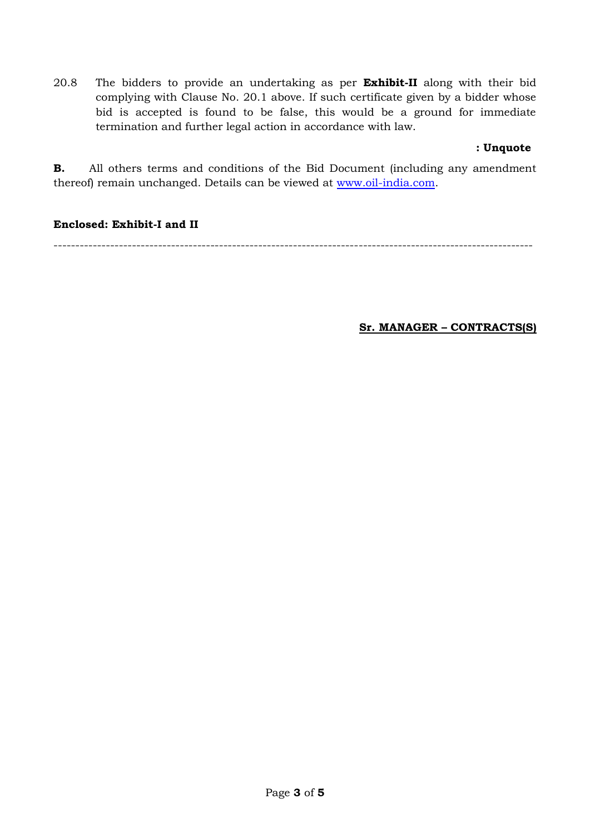20.8 The bidders to provide an undertaking as per **Exhibit-II** along with their bid complying with Clause No. 20.1 above. If such certificate given by a bidder whose bid is accepted is found to be false, this would be a ground for immediate termination and further legal action in accordance with law.

## **: Unquote**

**B.** All others terms and conditions of the Bid Document (including any amendment thereof) remain unchanged. Details can be viewed at [www.oil-india.com.](http://www.oil-india.com/)

## **Enclosed: Exhibit-I and II**

--------------------------------------------------------------------------------------------------------------

**Sr. MANAGER – CONTRACTS(S)**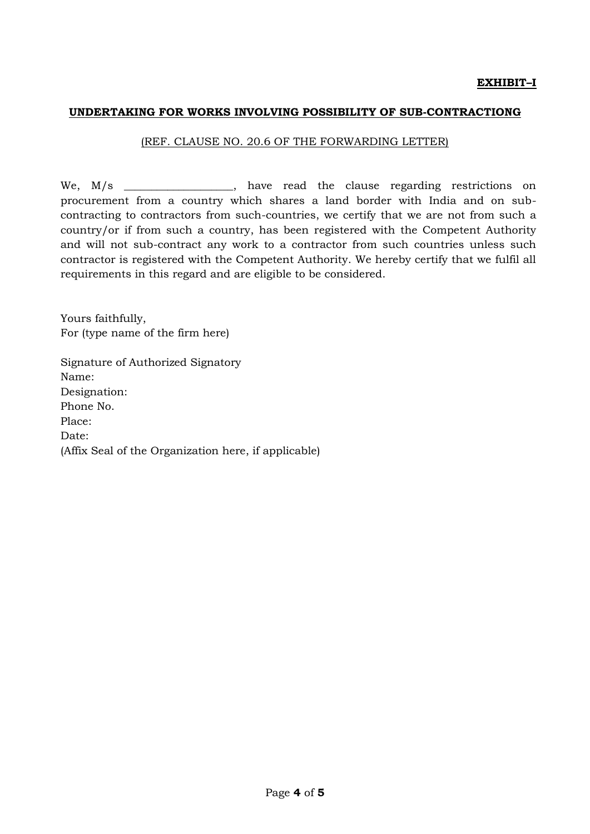#### **UNDERTAKING FOR WORKS INVOLVING POSSIBILITY OF SUB-CONTRACTIONG**

#### (REF. CLAUSE NO. 20.6 OF THE FORWARDING LETTER)

We, M/s \_\_\_\_\_\_\_\_\_\_\_\_\_\_\_\_, have read the clause regarding restrictions on procurement from a country which shares a land border with India and on subcontracting to contractors from such-countries, we certify that we are not from such a country/or if from such a country, has been registered with the Competent Authority and will not sub-contract any work to a contractor from such countries unless such contractor is registered with the Competent Authority. We hereby certify that we fulfil all requirements in this regard and are eligible to be considered.

Yours faithfully, For (type name of the firm here)

Signature of Authorized Signatory Name: Designation: Phone No. Place: Date: (Affix Seal of the Organization here, if applicable)